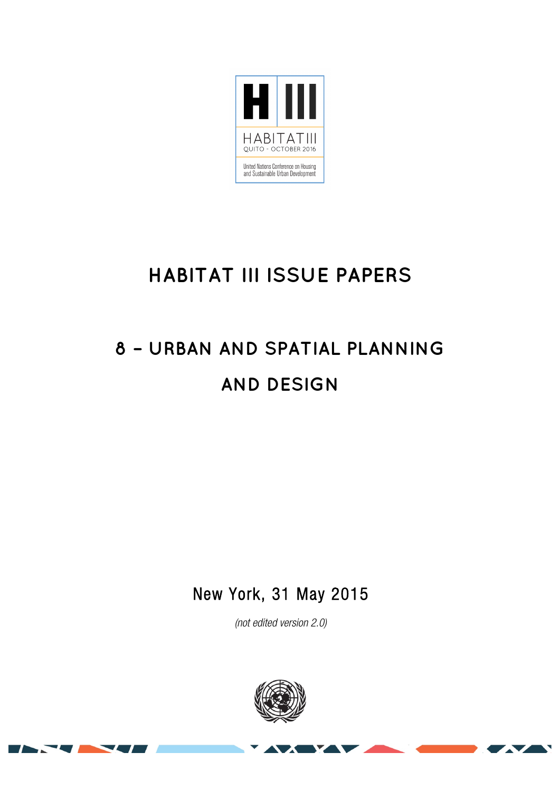

## **HABITAT III ISSUE PAPERS**

# **8 – URBAN AND SPATIAL PLANNING AND DESIGN**

New York, 31 May 2015

(not edited version 2.0)



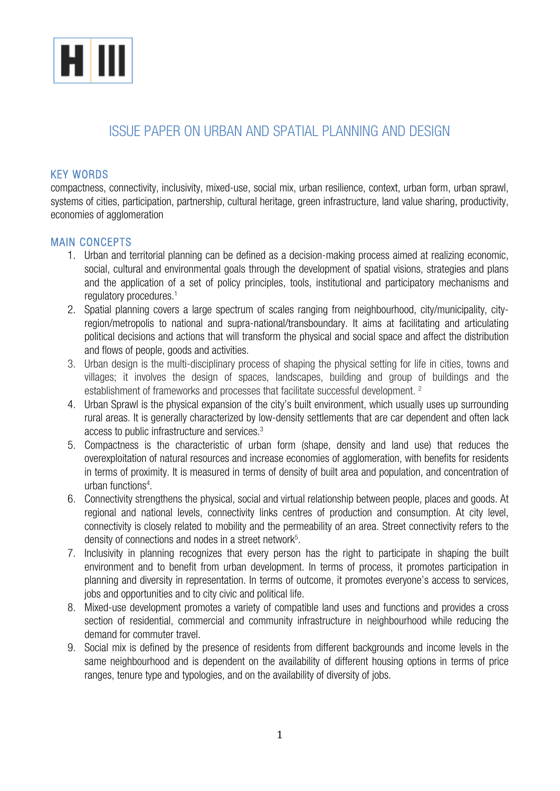

### ISSUE PAPER ON URBAN AND SPATIAL PLANNING AND DESIGN

#### KEY WORDS

compactness, connectivity, inclusivity, mixed-use, social mix, urban resilience, context, urban form, urban sprawl, systems of cities, participation, partnership, cultural heritage, green infrastructure, land value sharing, productivity, economies of agglomeration

#### MAIN CONCEPTS

- 1. Urban and territorial planning can be defined as a decision-making process aimed at realizing economic, social, cultural and environmental goals through the development of spatial visions, strategies and plans and the application of a set of policy principles, tools, institutional and participatory mechanisms and regulatory procedures.<sup>1</sup>
- 2. Spatial planning covers a large spectrum of scales ranging from neighbourhood, city/municipality, cityregion/metropolis to national and supra-national/transboundary. It aims at facilitating and articulating political decisions and actions that will transform the physical and social space and affect the distribution and flows of people, goods and activities.
- 3. Urban design is the multi-disciplinary process of shaping the physical setting for life in cities, towns and villages; it involves the design of spaces, landscapes, building and group of buildings and the establishment of frameworks and processes that facilitate successful development.<sup>2</sup>
- 4. Urban Sprawl is the physical expansion of the city's built environment, which usually uses up surrounding rural areas. It is generally characterized by low-density settlements that are car dependent and often lack access to public infrastructure and services.3
- 5. Compactness is the characteristic of urban form (shape, density and land use) that reduces the overexploitation of natural resources and increase economies of agglomeration, with benefits for residents in terms of proximity. It is measured in terms of density of built area and population, and concentration of urban functions<sup>4</sup>.
- 6. Connectivity strengthens the physical, social and virtual relationship between people, places and goods. At regional and national levels, connectivity links centres of production and consumption. At city level, connectivity is closely related to mobility and the permeability of an area. Street connectivity refers to the density of connections and nodes in a street network $5$ .
- 7. Inclusivity in planning recognizes that every person has the right to participate in shaping the built environment and to benefit from urban development. In terms of process, it promotes participation in planning and diversity in representation. In terms of outcome, it promotes everyone's access to services, iobs and opportunities and to city civic and political life.
- 8. Mixed-use development promotes a variety of compatible land uses and functions and provides a cross section of residential, commercial and community infrastructure in neighbourhood while reducing the demand for commuter travel.
- 9. Social mix is defined by the presence of residents from different backgrounds and income levels in the same neighbourhood and is dependent on the availability of different housing options in terms of price ranges, tenure type and typologies, and on the availability of diversity of jobs.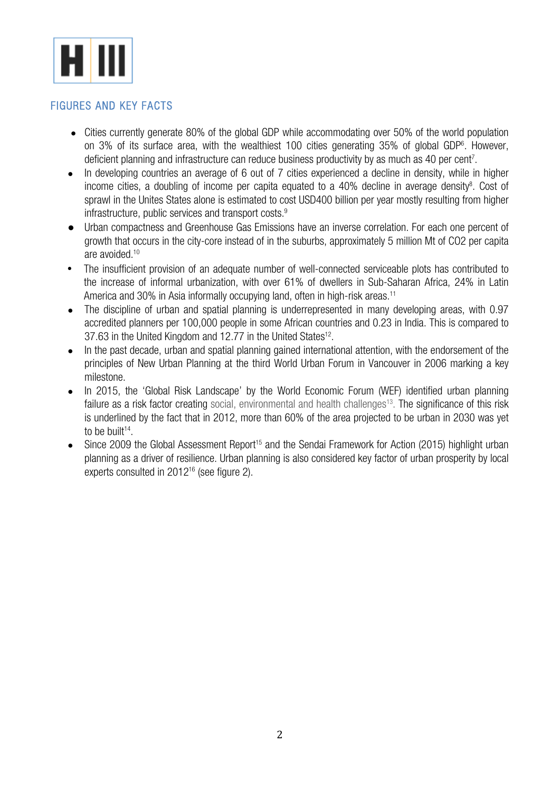

#### FIGURES AND KEY FACTS

- Cities currently generate 80% of the global GDP while accommodating over 50% of the world population on 3% of its surface area, with the wealthiest 100 cities generating 35% of global GDP6 . However, deficient planning and infrastructure can reduce business productivity by as much as 40 per cent<sup>7</sup>.
- In developing countries an average of 6 out of 7 cities experienced a decline in density, while in higher income cities, a doubling of income per capita equated to a 40% decline in average density<sup>8</sup>. Cost of sprawl in the Unites States alone is estimated to cost USD400 billion per year mostly resulting from higher infrastructure, public services and transport costs.<sup>9</sup>
- Urban compactness and Greenhouse Gas Emissions have an inverse correlation. For each one percent of growth that occurs in the city-core instead of in the suburbs, approximately 5 million Mt of CO2 per capita are avoided.10
- The insufficient provision of an adequate number of well-connected serviceable plots has contributed to the increase of informal urbanization, with over 61% of dwellers in Sub-Saharan Africa, 24% in Latin America and 30% in Asia informally occupying land, often in high-risk areas.<sup>11</sup>
- The discipline of urban and spatial planning is underrepresented in many developing areas, with 0.97 accredited planners per 100,000 people in some African countries and 0.23 in India. This is compared to 37.63 in the United Kingdom and 12.77 in the United States<sup>12</sup>.
- In the past decade, urban and spatial planning gained international attention, with the endorsement of the principles of New Urban Planning at the third World Urban Forum in Vancouver in 2006 marking a key milestone.
- In 2015, the 'Global Risk Landscape' by the World Economic Forum (WEF) identified urban planning failure as a risk factor creating social, environmental and health challenges<sup>13</sup>. The significance of this risk is underlined by the fact that in 2012, more than 60% of the area projected to be urban in 2030 was yet to be built $14$ .
- Since 2009 the Global Assessment Report<sup>15</sup> and the Sendai Framework for Action (2015) highlight urban planning as a driver of resilience. Urban planning is also considered key factor of urban prosperity by local experts consulted in 201216 (see figure 2).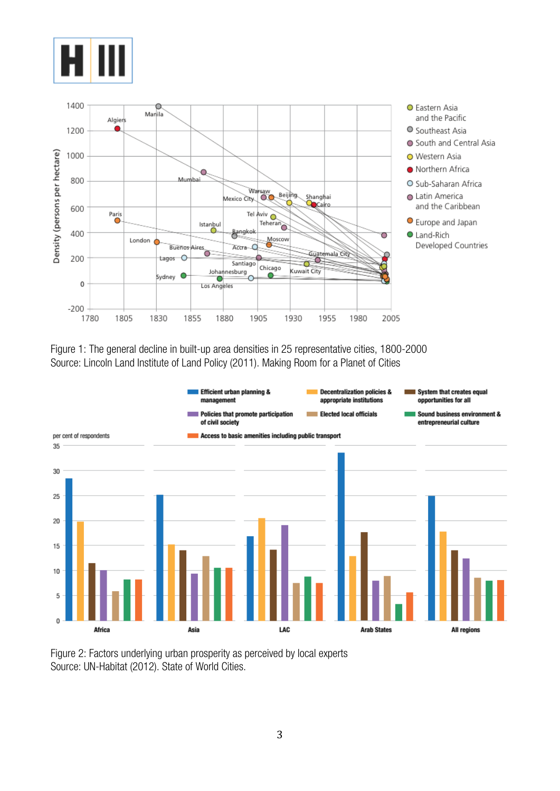



Figure 1: The general decline in built-up area densities in 25 representative cities, 1800-2000 Source: Lincoln Land Institute of Land Policy (2011). Making Room for a Planet of Cities



Figure 2: Factors underlying urban prosperity as perceived by local experts Source: UN-Habitat (2012). State of World Cities.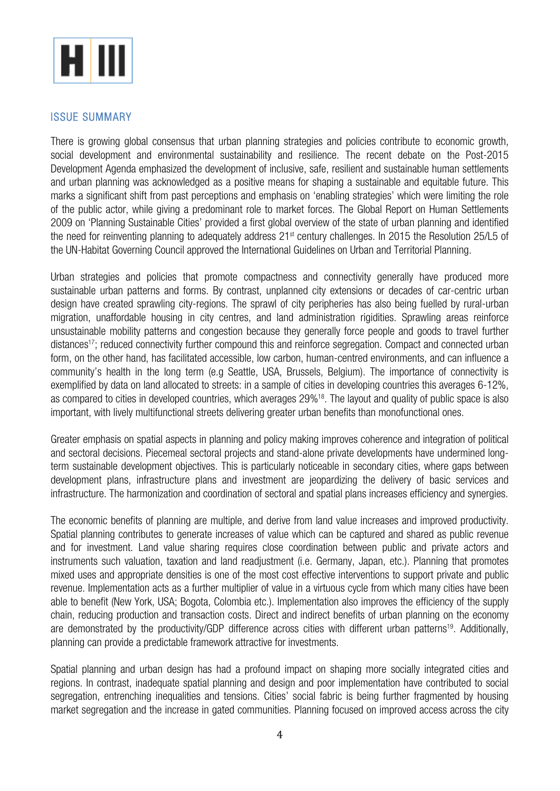

#### ISSUE SUMMARY

There is growing global consensus that urban planning strategies and policies contribute to economic growth, social development and environmental sustainability and resilience. The recent debate on the Post-2015 Development Agenda emphasized the development of inclusive, safe, resilient and sustainable human settlements and urban planning was acknowledged as a positive means for shaping a sustainable and equitable future. This marks a significant shift from past perceptions and emphasis on 'enabling strategies' which were limiting the role of the public actor, while giving a predominant role to market forces. The Global Report on Human Settlements 2009 on 'Planning Sustainable Cities' provided a first global overview of the state of urban planning and identified the need for reinventing planning to adequately address 21<sup>st</sup> century challenges. In 2015 the Resolution 25/L5 of the UN-Habitat Governing Council approved the International Guidelines on Urban and Territorial Planning.

Urban strategies and policies that promote compactness and connectivity generally have produced more sustainable urban patterns and forms. By contrast, unplanned city extensions or decades of car-centric urban design have created sprawling city-regions. The sprawl of city peripheries has also being fuelled by rural-urban migration, unaffordable housing in city centres, and land administration rigidities. Sprawling areas reinforce unsustainable mobility patterns and congestion because they generally force people and goods to travel further distances<sup>17</sup>; reduced connectivity further compound this and reinforce segregation. Compact and connected urban form, on the other hand, has facilitated accessible, low carbon, human-centred environments, and can influence a community's health in the long term (e.g Seattle, USA, Brussels, Belgium). The importance of connectivity is exemplified by data on land allocated to streets: in a sample of cities in developing countries this averages 6-12%, as compared to cities in developed countries, which averages 29%<sup>18</sup>. The layout and quality of public space is also important, with lively multifunctional streets delivering greater urban benefits than monofunctional ones.

Greater emphasis on spatial aspects in planning and policy making improves coherence and integration of political and sectoral decisions. Piecemeal sectoral projects and stand-alone private developments have undermined longterm sustainable development objectives. This is particularly noticeable in secondary cities, where gaps between development plans, infrastructure plans and investment are jeopardizing the delivery of basic services and infrastructure. The harmonization and coordination of sectoral and spatial plans increases efficiency and synergies.

The economic benefits of planning are multiple, and derive from land value increases and improved productivity. Spatial planning contributes to generate increases of value which can be captured and shared as public revenue and for investment. Land value sharing requires close coordination between public and private actors and instruments such valuation, taxation and land readjustment (i.e. Germany, Japan, etc.). Planning that promotes mixed uses and appropriate densities is one of the most cost effective interventions to support private and public revenue. Implementation acts as a further multiplier of value in a virtuous cycle from which many cities have been able to benefit (New York, USA; Bogota, Colombia etc.). Implementation also improves the efficiency of the supply chain, reducing production and transaction costs. Direct and indirect benefits of urban planning on the economy are demonstrated by the productivity/GDP difference across cities with different urban patterns<sup>19</sup>. Additionally, planning can provide a predictable framework attractive for investments.

Spatial planning and urban design has had a profound impact on shaping more socially integrated cities and regions. In contrast, inadequate spatial planning and design and poor implementation have contributed to social segregation, entrenching inequalities and tensions. Cities' social fabric is being further fragmented by housing market segregation and the increase in gated communities. Planning focused on improved access across the city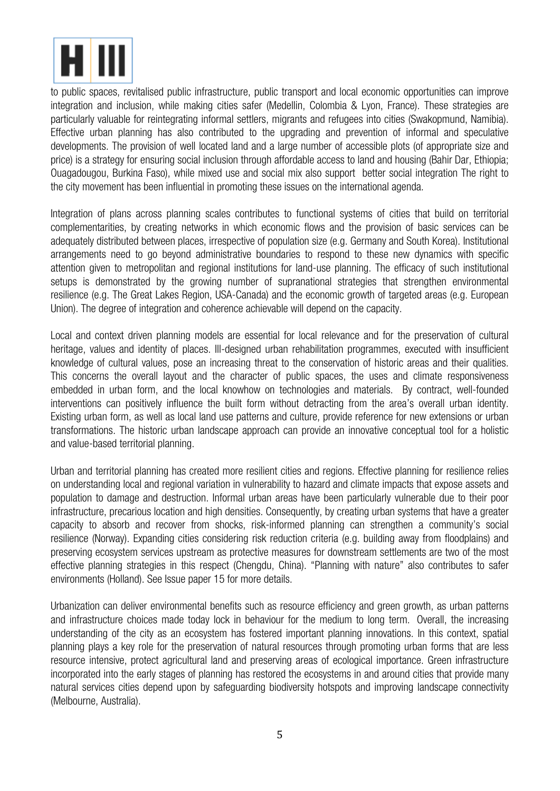

to public spaces, revitalised public infrastructure, public transport and local economic opportunities can improve integration and inclusion, while making cities safer (Medellin, Colombia & Lyon, France). These strategies are particularly valuable for reintegrating informal settlers, migrants and refugees into cities (Swakopmund, Namibia). Effective urban planning has also contributed to the upgrading and prevention of informal and speculative developments. The provision of well located land and a large number of accessible plots (of appropriate size and price) is a strategy for ensuring social inclusion through affordable access to land and housing (Bahir Dar, Ethiopia; Ouagadougou, Burkina Faso), while mixed use and social mix also support better social integration The right to the city movement has been influential in promoting these issues on the international agenda.

Integration of plans across planning scales contributes to functional systems of cities that build on territorial complementarities, by creating networks in which economic flows and the provision of basic services can be adequately distributed between places, irrespective of population size (e.g. Germany and South Korea). Institutional arrangements need to go beyond administrative boundaries to respond to these new dynamics with specific attention given to metropolitan and regional institutions for land-use planning. The efficacy of such institutional setups is demonstrated by the growing number of supranational strategies that strengthen environmental resilience (e.g. The Great Lakes Region, USA-Canada) and the economic growth of targeted areas (e.g. European Union). The degree of integration and coherence achievable will depend on the capacity.

Local and context driven planning models are essential for local relevance and for the preservation of cultural heritage, values and identity of places. Ill-designed urban rehabilitation programmes, executed with insufficient knowledge of cultural values, pose an increasing threat to the conservation of historic areas and their qualities. This concerns the overall layout and the character of public spaces, the uses and climate responsiveness embedded in urban form, and the local knowhow on technologies and materials. By contract, well-founded interventions can positively influence the built form without detracting from the area's overall urban identity. Existing urban form, as well as local land use patterns and culture, provide reference for new extensions or urban transformations. The historic urban landscape approach can provide an innovative conceptual tool for a holistic and value-based territorial planning.

Urban and territorial planning has created more resilient cities and regions. Effective planning for resilience relies on understanding local and regional variation in vulnerability to hazard and climate impacts that expose assets and population to damage and destruction. Informal urban areas have been particularly vulnerable due to their poor infrastructure, precarious location and high densities. Consequently, by creating urban systems that have a greater capacity to absorb and recover from shocks, risk-informed planning can strengthen a community's social resilience (Norway). Expanding cities considering risk reduction criteria (e.g. building away from floodplains) and preserving ecosystem services upstream as protective measures for downstream settlements are two of the most effective planning strategies in this respect (Chengdu, China). "Planning with nature" also contributes to safer environments (Holland). See Issue paper 15 for more details.

Urbanization can deliver environmental benefits such as resource efficiency and green growth, as urban patterns and infrastructure choices made today lock in behaviour for the medium to long term. Overall, the increasing understanding of the city as an ecosystem has fostered important planning innovations. In this context, spatial planning plays a key role for the preservation of natural resources through promoting urban forms that are less resource intensive, protect agricultural land and preserving areas of ecological importance. Green infrastructure incorporated into the early stages of planning has restored the ecosystems in and around cities that provide many natural services cities depend upon by safeguarding biodiversity hotspots and improving landscape connectivity (Melbourne, Australia).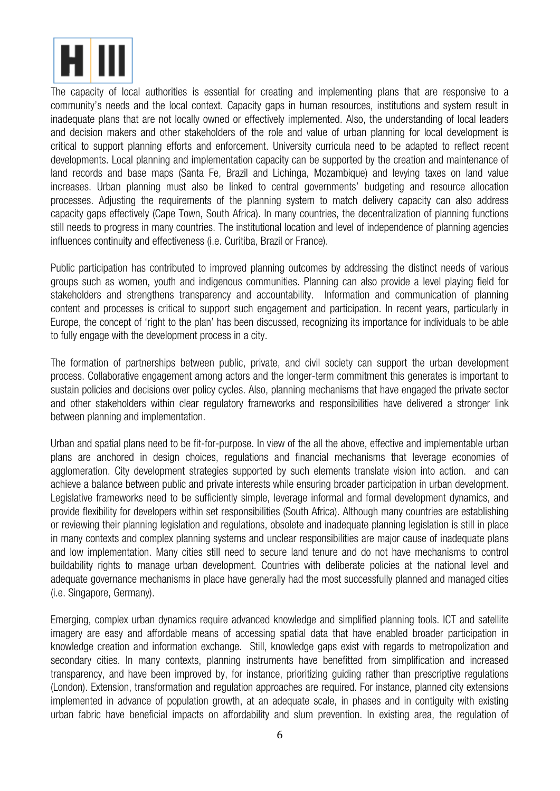

The capacity of local authorities is essential for creating and implementing plans that are responsive to a community's needs and the local context. Capacity gaps in human resources, institutions and system result in inadequate plans that are not locally owned or effectively implemented. Also, the understanding of local leaders and decision makers and other stakeholders of the role and value of urban planning for local development is critical to support planning efforts and enforcement. University curricula need to be adapted to reflect recent developments. Local planning and implementation capacity can be supported by the creation and maintenance of land records and base maps (Santa Fe, Brazil and Lichinga, Mozambique) and levying taxes on land value increases. Urban planning must also be linked to central governments' budgeting and resource allocation processes. Adjusting the requirements of the planning system to match delivery capacity can also address capacity gaps effectively (Cape Town, South Africa). In many countries, the decentralization of planning functions still needs to progress in many countries. The institutional location and level of independence of planning agencies influences continuity and effectiveness (i.e. Curitiba, Brazil or France).

Public participation has contributed to improved planning outcomes by addressing the distinct needs of various groups such as women, youth and indigenous communities. Planning can also provide a level playing field for stakeholders and strengthens transparency and accountability. Information and communication of planning content and processes is critical to support such engagement and participation. In recent years, particularly in Europe, the concept of 'right to the plan' has been discussed, recognizing its importance for individuals to be able to fully engage with the development process in a city.

The formation of partnerships between public, private, and civil society can support the urban development process. Collaborative engagement among actors and the longer-term commitment this generates is important to sustain policies and decisions over policy cycles. Also, planning mechanisms that have engaged the private sector and other stakeholders within clear regulatory frameworks and responsibilities have delivered a stronger link between planning and implementation.

Urban and spatial plans need to be fit-for-purpose. In view of the all the above, effective and implementable urban plans are anchored in design choices, regulations and financial mechanisms that leverage economies of agglomeration. City development strategies supported by such elements translate vision into action. and can achieve a balance between public and private interests while ensuring broader participation in urban development. Legislative frameworks need to be sufficiently simple, leverage informal and formal development dynamics, and provide flexibility for developers within set responsibilities (South Africa). Although many countries are establishing or reviewing their planning legislation and regulations, obsolete and inadequate planning legislation is still in place in many contexts and complex planning systems and unclear responsibilities are major cause of inadequate plans and low implementation. Many cities still need to secure land tenure and do not have mechanisms to control buildability rights to manage urban development. Countries with deliberate policies at the national level and adequate governance mechanisms in place have generally had the most successfully planned and managed cities (i.e. Singapore, Germany).

Emerging, complex urban dynamics require advanced knowledge and simplified planning tools. ICT and satellite imagery are easy and affordable means of accessing spatial data that have enabled broader participation in knowledge creation and information exchange. Still, knowledge gaps exist with regards to metropolization and secondary cities. In many contexts, planning instruments have benefitted from simplification and increased transparency, and have been improved by, for instance, prioritizing guiding rather than prescriptive regulations (London). Extension, transformation and regulation approaches are required. For instance, planned city extensions implemented in advance of population growth, at an adequate scale, in phases and in contiguity with existing urban fabric have beneficial impacts on affordability and slum prevention. In existing area, the regulation of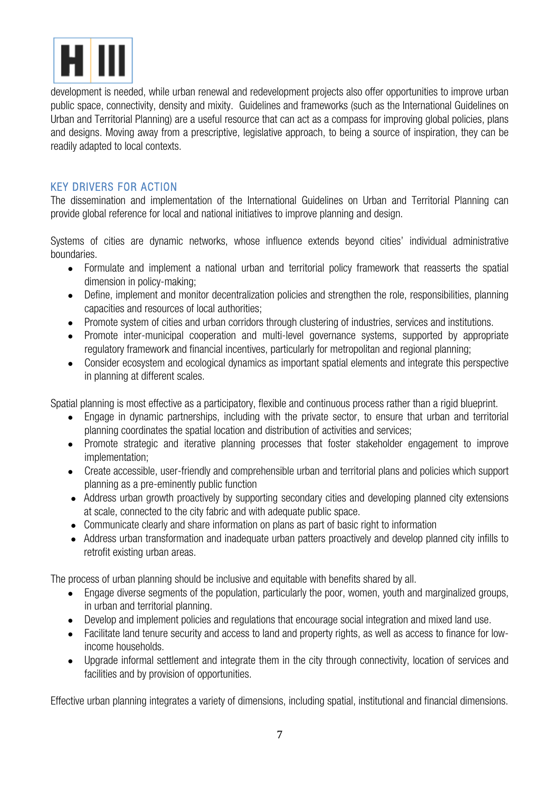

development is needed, while urban renewal and redevelopment projects also offer opportunities to improve urban public space, connectivity, density and mixity. Guidelines and frameworks (such as the International Guidelines on Urban and Territorial Planning) are a useful resource that can act as a compass for improving global policies, plans and designs. Moving away from a prescriptive, legislative approach, to being a source of inspiration, they can be readily adapted to local contexts.

#### KEY DRIVERS FOR ACTION

The dissemination and implementation of the International Guidelines on Urban and Territorial Planning can provide global reference for local and national initiatives to improve planning and design.

Systems of cities are dynamic networks, whose influence extends beyond cities' individual administrative boundaries.

- Formulate and implement a national urban and territorial policy framework that reasserts the spatial dimension in policy-making;
- Define, implement and monitor decentralization policies and strengthen the role, responsibilities, planning capacities and resources of local authorities;
- Promote system of cities and urban corridors through clustering of industries, services and institutions.
- Promote inter-municipal cooperation and multi-level governance systems, supported by appropriate regulatory framework and financial incentives, particularly for metropolitan and regional planning;
- Consider ecosystem and ecological dynamics as important spatial elements and integrate this perspective in planning at different scales.

Spatial planning is most effective as a participatory, flexible and continuous process rather than a rigid blueprint.

- Engage in dynamic partnerships, including with the private sector, to ensure that urban and territorial planning coordinates the spatial location and distribution of activities and services;
- Promote strategic and iterative planning processes that foster stakeholder engagement to improve implementation;
- Create accessible, user-friendly and comprehensible urban and territorial plans and policies which support planning as a pre-eminently public function
- Address urban growth proactively by supporting secondary cities and developing planned city extensions at scale, connected to the city fabric and with adequate public space.
- Communicate clearly and share information on plans as part of basic right to information
- Address urban transformation and inadequate urban patters proactively and develop planned city infills to retrofit existing urban areas.

The process of urban planning should be inclusive and equitable with benefits shared by all.

- Engage diverse segments of the population, particularly the poor, women, youth and marginalized groups, in urban and territorial planning.
- Develop and implement policies and regulations that encourage social integration and mixed land use.
- Facilitate land tenure security and access to land and property rights, as well as access to finance for lowincome households.
- Upgrade informal settlement and integrate them in the city through connectivity, location of services and facilities and by provision of opportunities.

Effective urban planning integrates a variety of dimensions, including spatial, institutional and financial dimensions.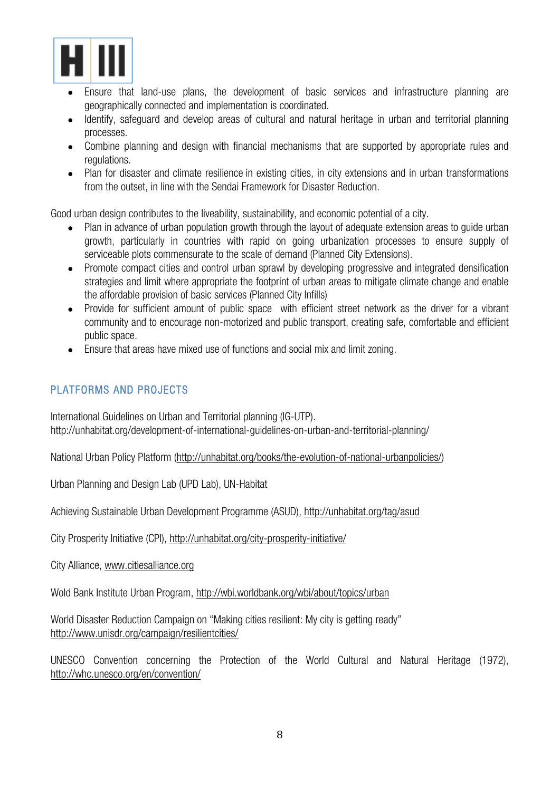

- Ensure that land-use plans, the development of basic services and infrastructure planning are geographically connected and implementation is coordinated.
- Identify, safeguard and develop areas of cultural and natural heritage in urban and territorial planning processes.
- Combine planning and design with financial mechanisms that are supported by appropriate rules and regulations.
- Plan for disaster and climate resilience in existing cities, in city extensions and in urban transformations from the outset, in line with the Sendai Framework for Disaster Reduction.

Good urban design contributes to the liveability, sustainability, and economic potential of a city.

- Plan in advance of urban population growth through the layout of adequate extension areas to quide urban growth, particularly in countries with rapid on going urbanization processes to ensure supply of serviceable plots commensurate to the scale of demand (Planned City Extensions).
- Promote compact cities and control urban sprawl by developing progressive and integrated densification strategies and limit where appropriate the footprint of urban areas to mitigate climate change and enable the affordable provision of basic services (Planned City Infills)
- Provide for sufficient amount of public space with efficient street network as the driver for a vibrant community and to encourage non-motorized and public transport, creating safe, comfortable and efficient public space.
- Ensure that areas have mixed use of functions and social mix and limit zoning.

#### PLATFORMS AND PROJECTS

International Guidelines on Urban and Territorial planning (IG-UTP). http://unhabitat.org/development-of-international-guidelines-on-urban-and-territorial-planning/

National Urban Policy Platform (http://unhabitat.org/books/the‐evolution‐of‐national‐urbanpolicies/)

Urban Planning and Design Lab (UPD Lab), UN-Habitat

Achieving Sustainable Urban Development Programme (ASUD), http://unhabitat.org/tag/asud

City Prosperity Initiative (CPI), http://unhabitat.org/city-prosperity-initiative/

City Alliance, www.citiesalliance.org

Wold Bank Institute Urban Program, http://wbi.worldbank.org/wbi/about/topics/urban

World Disaster Reduction Campaign on "Making cities resilient: My city is getting ready" http://www.unisdr.org/campaign/resilientcities/

UNESCO Convention concerning the Protection of the World Cultural and Natural Heritage (1972), http://whc.unesco.org/en/convention/